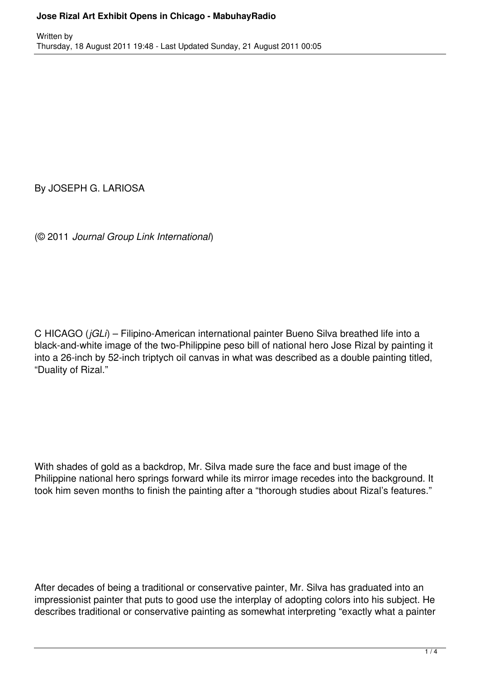By JOSEPH G. LARIOSA

(© 2011 *Journal Group Link International*)

C HICAGO (*jGLi*) – Filipino-American international painter Bueno Silva breathed life into a black-and-white image of the two-Philippine peso bill of national hero Jose Rizal by painting it into a 26-inch by 52-inch triptych oil canvas in what was described as a double painting titled, "Duality of Rizal."

With shades of gold as a backdrop, Mr. Silva made sure the face and bust image of the Philippine national hero springs forward while its mirror image recedes into the background. It took him seven months to finish the painting after a "thorough studies about Rizal's features."

After decades of being a traditional or conservative painter, Mr. Silva has graduated into an impressionist painter that puts to good use the interplay of adopting colors into his subject. He describes traditional or conservative painting as somewhat interpreting "exactly what a painter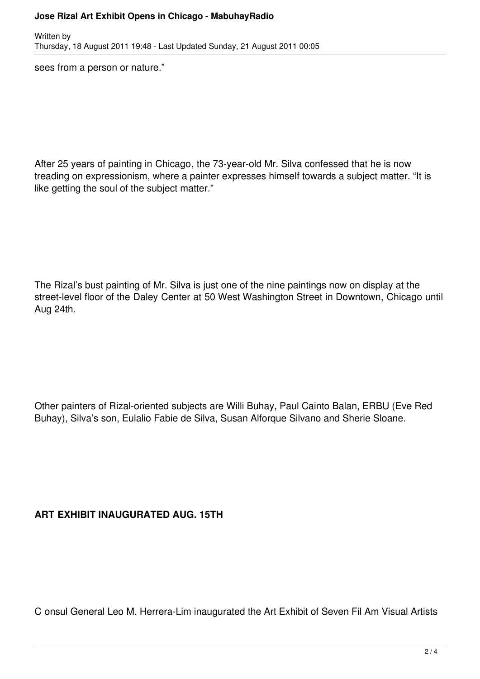## **Jose Rizal Art Exhibit Opens in Chicago - MabuhayRadio**

Written by Thursday, 18 August 2011 19:48 - Last Updated Sunday, 21 August 2011 00:05

sees from a person or nature."

After 25 years of painting in Chicago, the 73-year-old Mr. Silva confessed that he is now treading on expressionism, where a painter expresses himself towards a subject matter. "It is like getting the soul of the subject matter."

The Rizal's bust painting of Mr. Silva is just one of the nine paintings now on display at the street-level floor of the Daley Center at 50 West Washington Street in Downtown, Chicago until Aug 24th.

Other painters of Rizal-oriented subjects are Willi Buhay, Paul Cainto Balan, ERBU (Eve Red Buhay), Silva's son, Eulalio Fabie de Silva, Susan Alforque Silvano and Sherie Sloane.

## **ART EXHIBIT INAUGURATED AUG. 15TH**

C onsul General Leo M. Herrera-Lim inaugurated the Art Exhibit of Seven Fil Am Visual Artists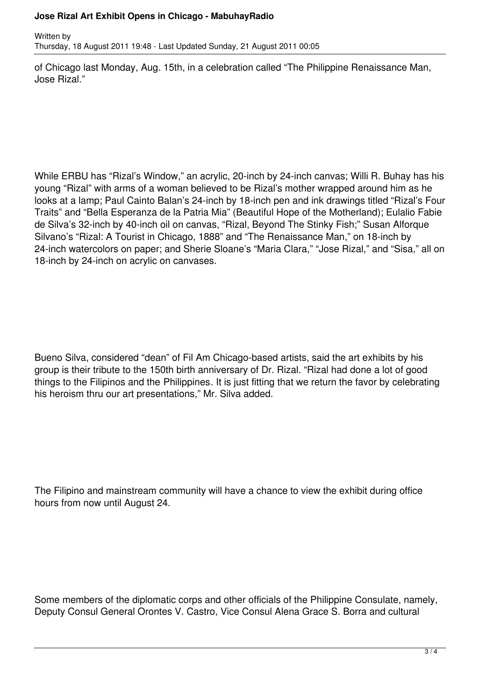## **Jose Rizal Art Exhibit Opens in Chicago - MabuhayRadio**

Written by Thursday, 18 August 2011 19:48 - Last Updated Sunday, 21 August 2011 00:05

of Chicago last Monday, Aug. 15th, in a celebration called "The Philippine Renaissance Man, Jose Rizal."

While ERBU has "Rizal's Window," an acrylic, 20-inch by 24-inch canvas; Willi R. Buhay has his young "Rizal" with arms of a woman believed to be Rizal's mother wrapped around him as he looks at a lamp; Paul Cainto Balan's 24-inch by 18-inch pen and ink drawings titled "Rizal's Four Traits" and "Bella Esperanza de la Patria Mia" (Beautiful Hope of the Motherland); Eulalio Fabie de Silva's 32-inch by 40-inch oil on canvas, "Rizal, Beyond The Stinky Fish;" Susan Alforque Silvano's "Rizal: A Tourist in Chicago, 1888" and "The Renaissance Man," on 18-inch by 24-inch watercolors on paper; and Sherie Sloane's "Maria Clara," "Jose Rizal," and "Sisa," all on 18-inch by 24-inch on acrylic on canvases.

Bueno Silva, considered "dean" of Fil Am Chicago-based artists, said the art exhibits by his group is their tribute to the 150th birth anniversary of Dr. Rizal. "Rizal had done a lot of good things to the Filipinos and the Philippines. It is just fitting that we return the favor by celebrating his heroism thru our art presentations," Mr. Silva added.

The Filipino and mainstream community will have a chance to view the exhibit during office hours from now until August 24.

Some members of the diplomatic corps and other officials of the Philippine Consulate, namely, Deputy Consul General Orontes V. Castro, Vice Consul Alena Grace S. Borra and cultural